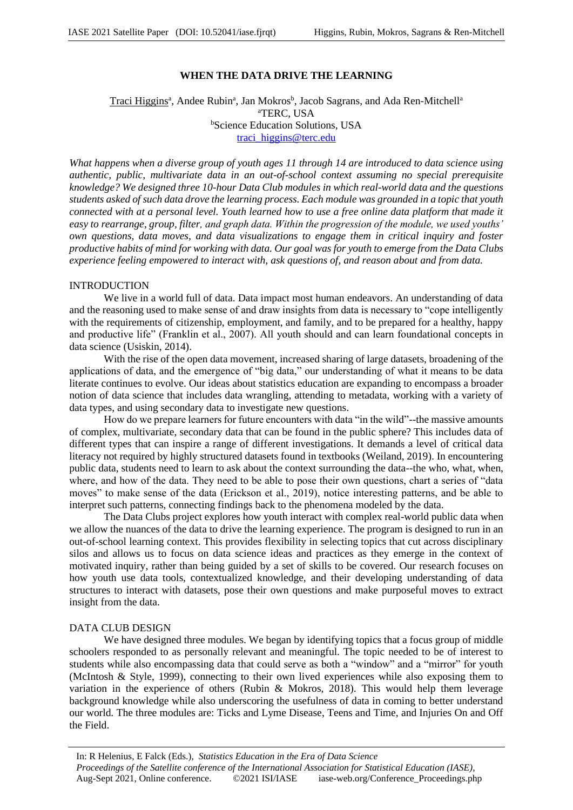# **WHEN THE DATA DRIVE THE LEARNING**

# Traci Higgins<sup>a</sup>, Andee Rubin<sup>a</sup>, Jan Mokros<sup>b</sup>, Jacob Sagrans, and Ada Ren-Mitchell<sup>a</sup> <sup>a</sup>TERC, USA **bScience Education Solutions, USA** traci\_higgins@terc.edu

*What happens when a diverse group of youth ages 11 through 14 are introduced to data science using authentic, public, multivariate data in an out-of-school context assuming no special prerequisite knowledge? We designed three 10-hour Data Club modules in which real-world data and the questions students asked of such data drove the learning process. Each module was grounded in a topic that youth connected with at a personal level. Youth learned how to use a free online data platform that made it easy to rearrange, group, filter, and graph data. Within the progression of the module, we used youths' own questions, data moves, and data visualizations to engage them in critical inquiry and foster productive habits of mind for working with data. Our goal was for youth to emerge from the Data Clubs experience feeling empowered to interact with, ask questions of, and reason about and from data.*

### INTRODUCTION

We live in a world full of data. Data impact most human endeavors. An understanding of data and the reasoning used to make sense of and draw insights from data is necessary to "cope intelligently with the requirements of citizenship, employment, and family, and to be prepared for a healthy, happy and productive life" (Franklin et al., 2007). All youth should and can learn foundational concepts in data science (Usiskin, 2014).

With the rise of the open data movement, increased sharing of large datasets, broadening of the applications of data, and the emergence of "big data," our understanding of what it means to be data literate continues to evolve. Our ideas about statistics education are expanding to encompass a broader notion of data science that includes data wrangling, attending to metadata, working with a variety of data types, and using secondary data to investigate new questions.

How do we prepare learners for future encounters with data "in the wild"--the massive amounts of complex, multivariate, secondary data that can be found in the public sphere? This includes data of different types that can inspire a range of different investigations. It demands a level of critical data literacy not required by highly structured datasets found in textbooks (Weiland, 2019). In encountering public data, students need to learn to ask about the context surrounding the data--the who, what, when, where, and how of the data. They need to be able to pose their own questions, chart a series of "data moves" to make sense of the data (Erickson et al., 2019), notice interesting patterns, and be able to interpret such patterns, connecting findings back to the phenomena modeled by the data.

The Data Clubs project explores how youth interact with complex real-world public data when we allow the nuances of the data to drive the learning experience. The program is designed to run in an out-of-school learning context. This provides flexibility in selecting topics that cut across disciplinary silos and allows us to focus on data science ideas and practices as they emerge in the context of motivated inquiry, rather than being guided by a set of skills to be covered. Our research focuses on how youth use data tools, contextualized knowledge, and their developing understanding of data structures to interact with datasets, pose their own questions and make purposeful moves to extract insight from the data.

### DATA CLUB DESIGN

We have designed three modules. We began by identifying topics that a focus group of middle schoolers responded to as personally relevant and meaningful. The topic needed to be of interest to students while also encompassing data that could serve as both a "window" and a "mirror" for youth (McIntosh & Style, 1999), connecting to their own lived experiences while also exposing them to variation in the experience of others (Rubin & Mokros, 2018). This would help them leverage background knowledge while also underscoring the usefulness of data in coming to better understand our world. The three modules are: Ticks and Lyme Disease, Teens and Time, and Injuries On and Off the Field.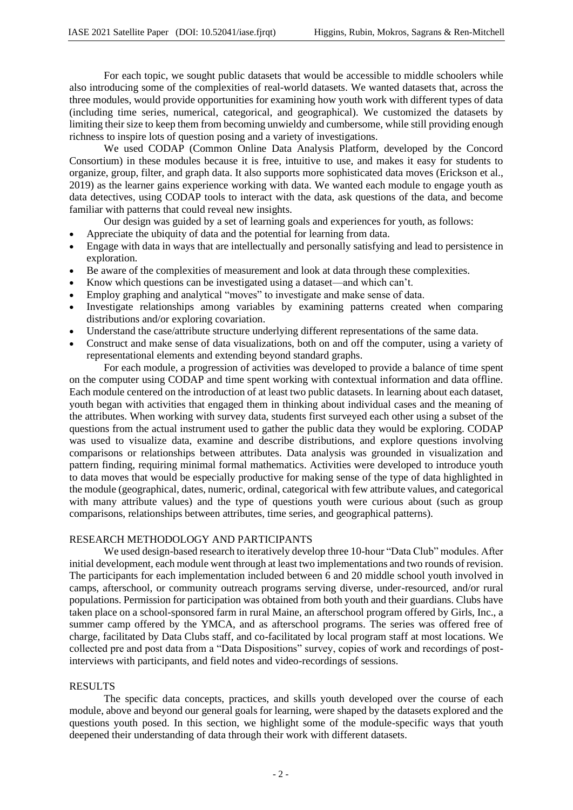For each topic, we sought public datasets that would be accessible to middle schoolers while also introducing some of the complexities of real-world datasets. We wanted datasets that, across the three modules, would provide opportunities for examining how youth work with different types of data (including time series, numerical, categorical, and geographical). We customized the datasets by limiting their size to keep them from becoming unwieldy and cumbersome, while still providing enough richness to inspire lots of question posing and a variety of investigations.

We used CODAP (Common Online Data Analysis Platform, developed by the Concord Consortium) in these modules because it is free, intuitive to use, and makes it easy for students to organize, group, filter, and graph data. It also supports more sophisticated data moves (Erickson et al., 2019) as the learner gains experience working with data. We wanted each module to engage youth as data detectives, using CODAP tools to interact with the data, ask questions of the data, and become familiar with patterns that could reveal new insights.

Our design was guided by a set of learning goals and experiences for youth, as follows:

- Appreciate the ubiquity of data and the potential for learning from data.
- Engage with data in ways that are intellectually and personally satisfying and lead to persistence in exploration.
- Be aware of the complexities of measurement and look at data through these complexities.
- Know which questions can be investigated using a dataset—and which can't.
- Employ graphing and analytical "moves" to investigate and make sense of data.
- Investigate relationships among variables by examining patterns created when comparing distributions and/or exploring covariation.
- Understand the case/attribute structure underlying different representations of the same data.
- Construct and make sense of data visualizations, both on and off the computer, using a variety of representational elements and extending beyond standard graphs.

For each module, a progression of activities was developed to provide a balance of time spent on the computer using CODAP and time spent working with contextual information and data offline. Each module centered on the introduction of at least two public datasets. In learning about each dataset, youth began with activities that engaged them in thinking about individual cases and the meaning of the attributes. When working with survey data, students first surveyed each other using a subset of the questions from the actual instrument used to gather the public data they would be exploring. CODAP was used to visualize data, examine and describe distributions, and explore questions involving comparisons or relationships between attributes. Data analysis was grounded in visualization and pattern finding, requiring minimal formal mathematics. Activities were developed to introduce youth to data moves that would be especially productive for making sense of the type of data highlighted in the module (geographical, dates, numeric, ordinal, categorical with few attribute values, and categorical with many attribute values) and the type of questions youth were curious about (such as group comparisons, relationships between attributes, time series, and geographical patterns).

### RESEARCH METHODOLOGY AND PARTICIPANTS

We used design-based research to iteratively develop three 10-hour "Data Club" modules. After initial development, each module went through at least two implementations and two rounds of revision. The participants for each implementation included between 6 and 20 middle school youth involved in camps, afterschool, or community outreach programs serving diverse, under-resourced, and/or rural populations. Permission for participation was obtained from both youth and their guardians. Clubs have taken place on a school-sponsored farm in rural Maine, an afterschool program offered by Girls, Inc., a summer camp offered by the YMCA, and as afterschool programs. The series was offered free of charge, facilitated by Data Clubs staff, and co-facilitated by local program staff at most locations. We collected pre and post data from a "Data Dispositions" survey, copies of work and recordings of postinterviews with participants, and field notes and video-recordings of sessions.

#### RESULTS

The specific data concepts, practices, and skills youth developed over the course of each module, above and beyond our general goals for learning, were shaped by the datasets explored and the questions youth posed. In this section, we highlight some of the module-specific ways that youth deepened their understanding of data through their work with different datasets.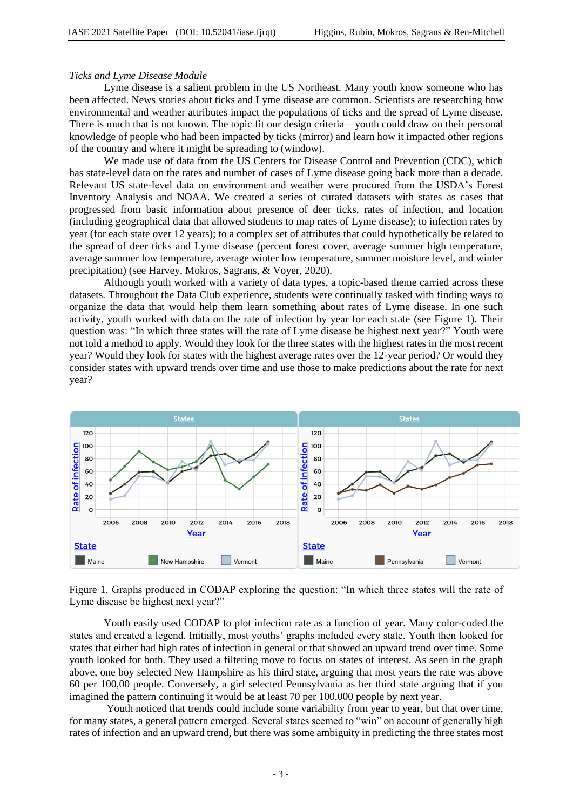### *Ticks and Lyme Disease Module*

Lyme disease is a salient problem in the US Northeast. Many youth know someone who has been affected. News stories about ticks and Lyme disease are common. Scientists are researching how environmental and weather attributes impact the populations of ticks and the spread of Lyme disease. There is much that is not known. The topic fit our design criteria—youth could draw on their personal knowledge of people who had been impacted by ticks (mirror) and learn how it impacted other regions of the country and where it might be spreading to (window).

We made use of data from the US Centers for Disease Control and Prevention (CDC), which has state-level data on the rates and number of cases of Lyme disease going back more than a decade. Relevant US state-level data on environment and weather were procured from the USDA's Forest Inventory Analysis and NOAA. We created a series of curated datasets with states as cases that progressed from basic information about presence of deer ticks, rates of infection, and location (including geographical data that allowed students to map rates of Lyme disease); to infection rates by year (for each state over 12 years); to a complex set of attributes that could hypothetically be related to the spread of deer ticks and Lyme disease (percent forest cover, average summer high temperature, average summer low temperature, average winter low temperature, summer moisture level, and winter precipitation) (see Harvey, Mokros, Sagrans, & Voyer, 2020).

Although youth worked with a variety of data types, a topic-based theme carried across these datasets. Throughout the Data Club experience, students were continually tasked with finding ways to organize the data that would help them learn something about rates of Lyme disease. In one such activity, youth worked with data on the rate of infection by year for each state (see Figure 1). Their question was: "In which three states will the rate of Lyme disease be highest next year?" Youth were not told a method to apply. Would they look for the three states with the highest rates in the most recent year? Would they look for states with the highest average rates over the 12-year period? Or would they consider states with upward trends over time and use those to make predictions about the rate for next year?



Figure 1. Graphs produced in CODAP exploring the question: "In which three states will the rate of Lyme disease be highest next year?"

Youth easily used CODAP to plot infection rate as a function of year. Many color-coded the states and created a legend. Initially, most youths' graphs included every state. Youth then looked for states that either had high rates of infection in general or that showed an upward trend over time. Some youth looked for both. They used a filtering move to focus on states of interest. As seen in the graph above, one boy selected New Hampshire as his third state, arguing that most years the rate was above 60 per 100,00 people. Conversely, a girl selected Pennsylvania as her third state arguing that if you imagined the pattern continuing it would be at least 70 per 100,000 people by next year.

Youth noticed that trends could include some variability from year to year, but that over time, for many states, a general pattern emerged. Several states seemed to "win" on account of generally high rates of infection and an upward trend, but there was some ambiguity in predicting the three states most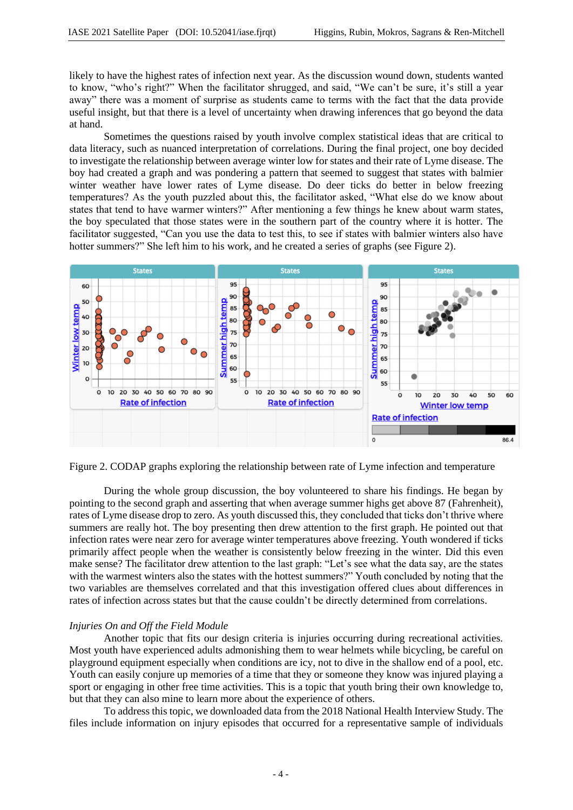likely to have the highest rates of infection next year. As the discussion wound down, students wanted to know, "who's right?" When the facilitator shrugged, and said, "We can't be sure, it's still a year away" there was a moment of surprise as students came to terms with the fact that the data provide useful insight, but that there is a level of uncertainty when drawing inferences that go beyond the data at hand.

Sometimes the questions raised by youth involve complex statistical ideas that are critical to data literacy, such as nuanced interpretation of correlations. During the final project, one boy decided to investigate the relationship between average winter low for states and their rate of Lyme disease. The boy had created a graph and was pondering a pattern that seemed to suggest that states with balmier winter weather have lower rates of Lyme disease. Do deer ticks do better in below freezing temperatures? As the youth puzzled about this, the facilitator asked, "What else do we know about states that tend to have warmer winters?" After mentioning a few things he knew about warm states, the boy speculated that those states were in the southern part of the country where it is hotter. The facilitator suggested, "Can you use the data to test this, to see if states with balmier winters also have hotter summers?" She left him to his work, and he created a series of graphs (see Figure 2).



Figure 2. CODAP graphs exploring the relationship between rate of Lyme infection and temperature

During the whole group discussion, the boy volunteered to share his findings. He began by pointing to the second graph and asserting that when average summer highs get above 87 (Fahrenheit), rates of Lyme disease drop to zero. As youth discussed this, they concluded that ticks don't thrive where summers are really hot. The boy presenting then drew attention to the first graph. He pointed out that infection rates were near zero for average winter temperatures above freezing. Youth wondered if ticks primarily affect people when the weather is consistently below freezing in the winter. Did this even make sense? The facilitator drew attention to the last graph: "Let's see what the data say, are the states with the warmest winters also the states with the hottest summers?" Youth concluded by noting that the two variables are themselves correlated and that this investigation offered clues about differences in rates of infection across states but that the cause couldn't be directly determined from correlations.

# *Injuries On and Off the Field Module*

Another topic that fits our design criteria is injuries occurring during recreational activities. Most youth have experienced adults admonishing them to wear helmets while bicycling, be careful on playground equipment especially when conditions are icy, not to dive in the shallow end of a pool, etc. Youth can easily conjure up memories of a time that they or someone they know was injured playing a sport or engaging in other free time activities. This is a topic that youth bring their own knowledge to, but that they can also mine to learn more about the experience of others.

To address this topic, we downloaded data from the 2018 National Health Interview Study. The files include information on injury episodes that occurred for a representative sample of individuals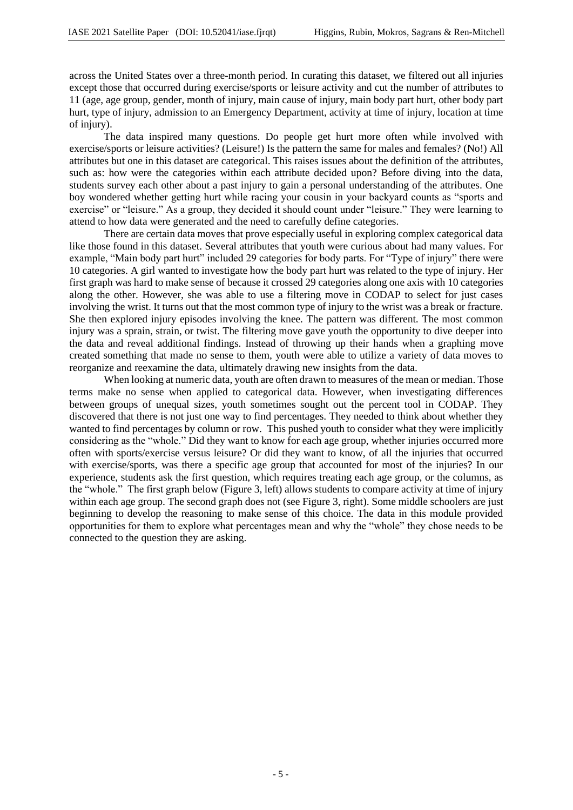across the United States over a three-month period. In curating this dataset, we filtered out all injuries except those that occurred during exercise/sports or leisure activity and cut the number of attributes to 11 (age, age group, gender, month of injury, main cause of injury, main body part hurt, other body part hurt, type of injury, admission to an Emergency Department, activity at time of injury, location at time of injury).

The data inspired many questions. Do people get hurt more often while involved with exercise/sports or leisure activities? (Leisure!) Is the pattern the same for males and females? (No!) All attributes but one in this dataset are categorical. This raises issues about the definition of the attributes, such as: how were the categories within each attribute decided upon? Before diving into the data, students survey each other about a past injury to gain a personal understanding of the attributes. One boy wondered whether getting hurt while racing your cousin in your backyard counts as "sports and exercise" or "leisure." As a group, they decided it should count under "leisure." They were learning to attend to how data were generated and the need to carefully define categories.

There are certain data moves that prove especially useful in exploring complex categorical data like those found in this dataset. Several attributes that youth were curious about had many values. For example, "Main body part hurt" included 29 categories for body parts. For "Type of injury" there were 10 categories. A girl wanted to investigate how the body part hurt was related to the type of injury. Her first graph was hard to make sense of because it crossed 29 categories along one axis with 10 categories along the other. However, she was able to use a filtering move in CODAP to select for just cases involving the wrist. It turns out that the most common type of injury to the wrist was a break or fracture. She then explored injury episodes involving the knee. The pattern was different. The most common injury was a sprain, strain, or twist. The filtering move gave youth the opportunity to dive deeper into the data and reveal additional findings. Instead of throwing up their hands when a graphing move created something that made no sense to them, youth were able to utilize a variety of data moves to reorganize and reexamine the data, ultimately drawing new insights from the data.

When looking at numeric data, youth are often drawn to measures of the mean or median. Those terms make no sense when applied to categorical data. However, when investigating differences between groups of unequal sizes, youth sometimes sought out the percent tool in CODAP. They discovered that there is not just one way to find percentages. They needed to think about whether they wanted to find percentages by column or row. This pushed youth to consider what they were implicitly considering as the "whole." Did they want to know for each age group, whether injuries occurred more often with sports/exercise versus leisure? Or did they want to know, of all the injuries that occurred with exercise/sports, was there a specific age group that accounted for most of the injuries? In our experience, students ask the first question, which requires treating each age group, or the columns, as the "whole." The first graph below (Figure 3, left) allows students to compare activity at time of injury within each age group. The second graph does not (see Figure 3, right). Some middle schoolers are just beginning to develop the reasoning to make sense of this choice. The data in this module provided opportunities for them to explore what percentages mean and why the "whole" they chose needs to be connected to the question they are asking.